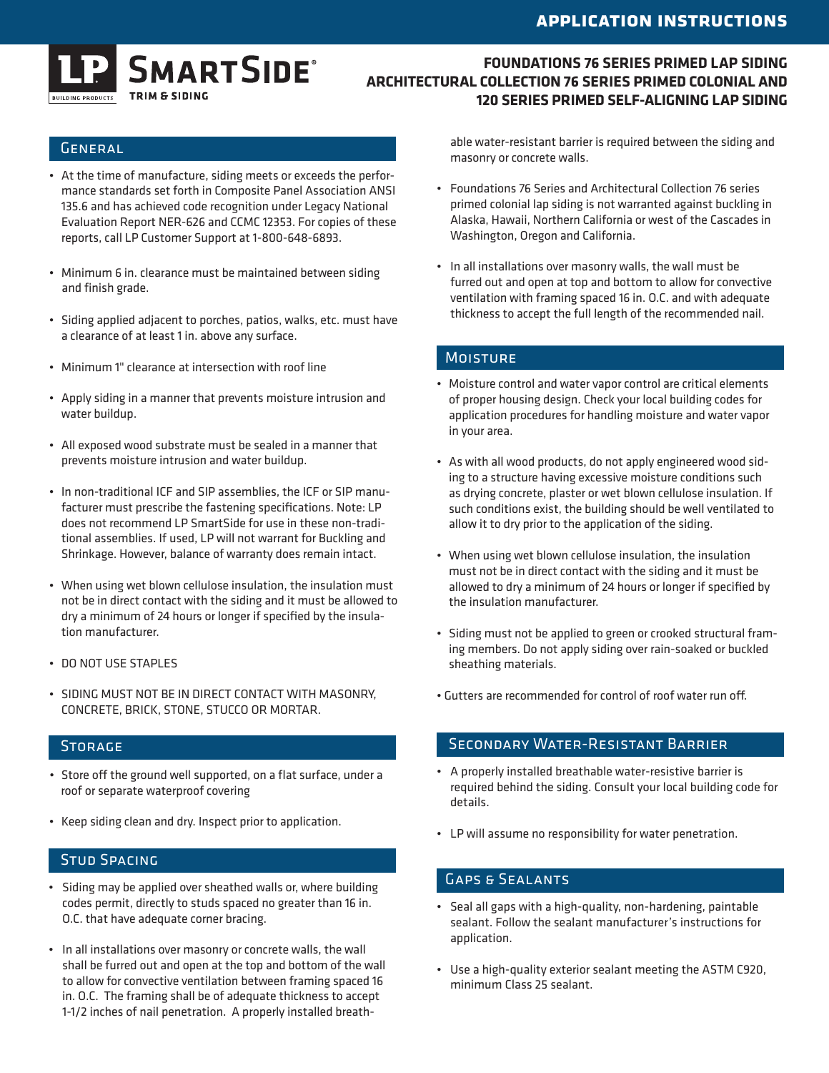

## **FOUNDATIONS 76 SERIES PRIMED LAP SIDING ARCHITECTURAL COLLECTION 76 SERIES PRIMED COLONIAL AND 120 SERIES PRIMED SELF-ALIGNING LAP SIDING**

## **GENERAL**

- • At the time of manufacture, siding meets or exceeds the performance standards set forth in Composite Panel Association ANSI 135.6 and has achieved code recognition under Legacy National Evaluation Report NER-626 and CCMC 12353. For copies of these reports, call LP Customer Support at 1-800-648-6893.
- Minimum 6 in. clearance must be maintained between siding and finish grade.
- • Siding applied adjacent to porches, patios, walks, etc. must have a clearance of at least 1 in. above any surface.
- • Minimum 1" clearance at intersection with roof line
- • Apply siding in a manner that prevents moisture intrusion and water buildup.
- • All exposed wood substrate must be sealed in a manner that prevents moisture intrusion and water buildup.
- • In non-traditional ICF and SIP assemblies, the ICF or SIP manufacturer must prescribe the fastening specifications. Note: LP does not recommend LP SmartSide for use in these non-traditional assemblies. If used, LP will not warrant for Buckling and Shrinkage. However, balance of warranty does remain intact.
- When using wet blown cellulose insulation, the insulation must not be in direct contact with the siding and it must be allowed to dry a minimum of 24 hours or longer if specified by the insulation manufacturer.
- DO NOT USE STAPLES
- • SIDING MUST NOT BE IN DIRECT CONTACT WITH MASONRY, CONCRETE, BRICK, STONE, STUCCO OR MORTAR.

### **STORAGE**

- Store off the ground well supported, on a flat surface, under a roof or separate waterproof covering
- • Keep siding clean and dry. Inspect prior to application.

## **STUD SPACING**

- • Siding may be applied over sheathed walls or, where building codes permit, directly to studs spaced no greater than 16 in. O.C. that have adequate corner bracing.
- • In all installations over masonry or concrete walls, the wall shall be furred out and open at the top and bottom of the wall to allow for convective ventilation between framing spaced 16 in. O.C. The framing shall be of adequate thickness to accept 1-1/2 inches of nail penetration. A properly installed breath-

able water-resistant barrier is required between the siding and masonry or concrete walls.

- • Foundations 76 Series and Architectural Collection 76 series primed colonial lap siding is not warranted against buckling in Alaska, Hawaii, Northern California or west of the Cascades in Washington, Oregon and California.
- • In all installations over masonry walls, the wall must be furred out and open at top and bottom to allow for convective ventilation with framing spaced 16 in. O.C. and with adequate thickness to accept the full length of the recommended nail.

#### **MOISTURE**

- Moisture control and water vapor control are critical elements of proper housing design. Check your local building codes for application procedures for handling moisture and water vapor in your area.
- • As with all wood products, do not apply engineered wood siding to a structure having excessive moisture conditions such as drying concrete, plaster or wet blown cellulose insulation. If such conditions exist, the building should be well ventilated to allow it to dry prior to the application of the siding.
- • When using wet blown cellulose insulation, the insulation must not be in direct contact with the siding and it must be allowed to dry a minimum of 24 hours or longer if specified by the insulation manufacturer.
- • Siding must not be applied to green or crooked structural framing members. Do not apply siding over rain-soaked or buckled sheathing materials.
- Gutters are recommended for control of roof water run off.

### Secondary Water-Resistant Barrier

- • A properly installed breathable water-resistive barrier is required behind the siding. Consult your local building code for details.
- • LP will assume no responsibility for water penetration.

## Gaps & Sealants

- • Seal all gaps with a high-quality, non-hardening, paintable sealant. Follow the sealant manufacturer's instructions for application.
- • Use a high-quality exterior sealant meeting the ASTM C920, minimum Class 25 sealant.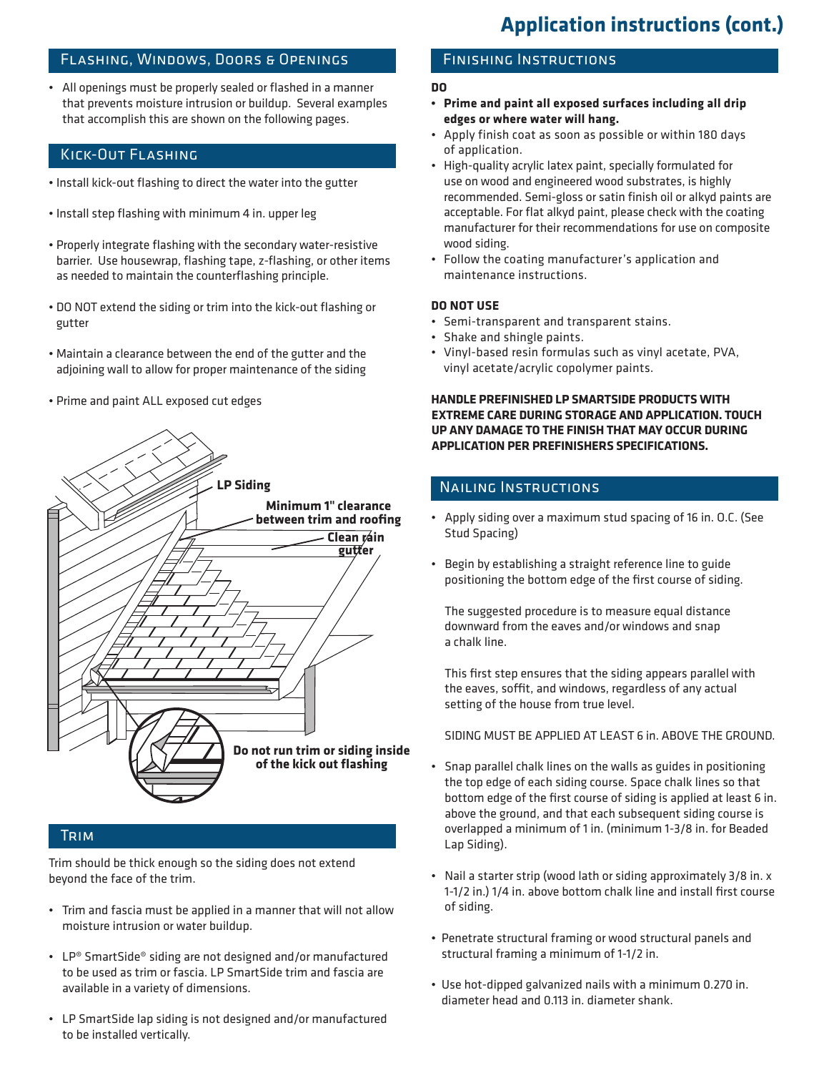## Flashing, Windows, Doors & Openings

• All openings must be properly sealed or flashed in a manner that prevents moisture intrusion or buildup. Several examples that accomplish this are shown on the following pages.

## Kick-Out Flashing

- Install kick-out flashing to direct the water into the gutter
- Install step flashing with minimum 4 in. upper leg
- Properly integrate flashing with the secondary water-resistive barrier. Use housewrap, flashing tape, z-flashing, or other items as needed to maintain the counterflashing principle.
- DO NOT extend the siding or trim into the kick-out flashing or gutter
- Maintain a clearance between the end of the gutter and the adjoining wall to allow for proper maintenance of the siding
- Prime and paint ALL exposed cut edges



## **TRIM**

Trim should be thick enough so the siding does not extend beyond the face of the trim.

- • Trim and fascia must be applied in a manner that will not allow moisture intrusion or water buildup.
- LP® SmartSide® siding are not designed and/or manufactured to be used as trim or fascia. LP SmartSide trim and fascia are available in a variety of dimensions.
- LP SmartSide lap siding is not designed and/or manufactured to be installed vertically.

## Finishing Instructions

#### **DO**

- **• Prime and paint all exposed surfaces including all drip edges or where water will hang.**
- • Apply finish coat as soon as possible or within 180 days of application.
- High-quality acrylic latex paint, specially formulated for use on wood and engineered wood substrates, is highly recommended. Semi-gloss or satin finish oil or alkyd paints are acceptable. For flat alkyd paint, please check with the coating manufacturer for their recommendations for use on composite wood siding.
- • Follow the coating manufacturer's application and maintenance instructions.

#### **DO NOT USE**

- • Semi-transparent and transparent stains.
- • Shake and shingle paints.
- • Vinyl-based resin formulas such as vinyl acetate, PVA, vinyl acetate/acrylic copolymer paints.

#### **HANDLE PREFINISHED LP SMARTSIDE PRODUCTS WITH EXTREME CARE DURING STORAGE AND APPLICATION. TOUCH UP ANY DAMAGE TO THE FINISH THAT MAY OCCUR DURING APPLICATION PER PREFINISHERS SPECIFICATIONS.**

## Nailing Instructions

- • Apply siding over a maximum stud spacing of 16 in. O.C. (See Stud Spacing)
- • Begin by establishing a straight reference line to guide positioning the bottom edge of the first course of siding.

The suggested procedure is to measure equal distance downward from the eaves and/or windows and snap a chalk line.

This first step ensures that the siding appears parallel with the eaves, soffit, and windows, regardless of any actual setting of the house from true level.

 SIDING MUST BE APPLIED AT LEAST 6 in. ABOVE THE GROUND.

- • Snap parallel chalk lines on the walls as guides in positioning the top edge of each siding course. Space chalk lines so that bottom edge of the first course of siding is applied at least 6 in. above the ground, and that each subsequent siding course is overlapped a minimum of 1 in. (minimum 1-3/8 in. for Beaded Lap Siding).
- Nail a starter strip (wood lath or siding approximately 3/8 in. x 1-1/2 in.) 1/4 in. above bottom chalk line and install first course of siding.
- Penetrate structural framing or wood structural panels and structural framing a minimum of 1-1/2 in.
- Use hot-dipped galvanized nails with a minimum 0.270 in. diameter head and 0.113 in. diameter shank.

# **Application instructions (cont.)**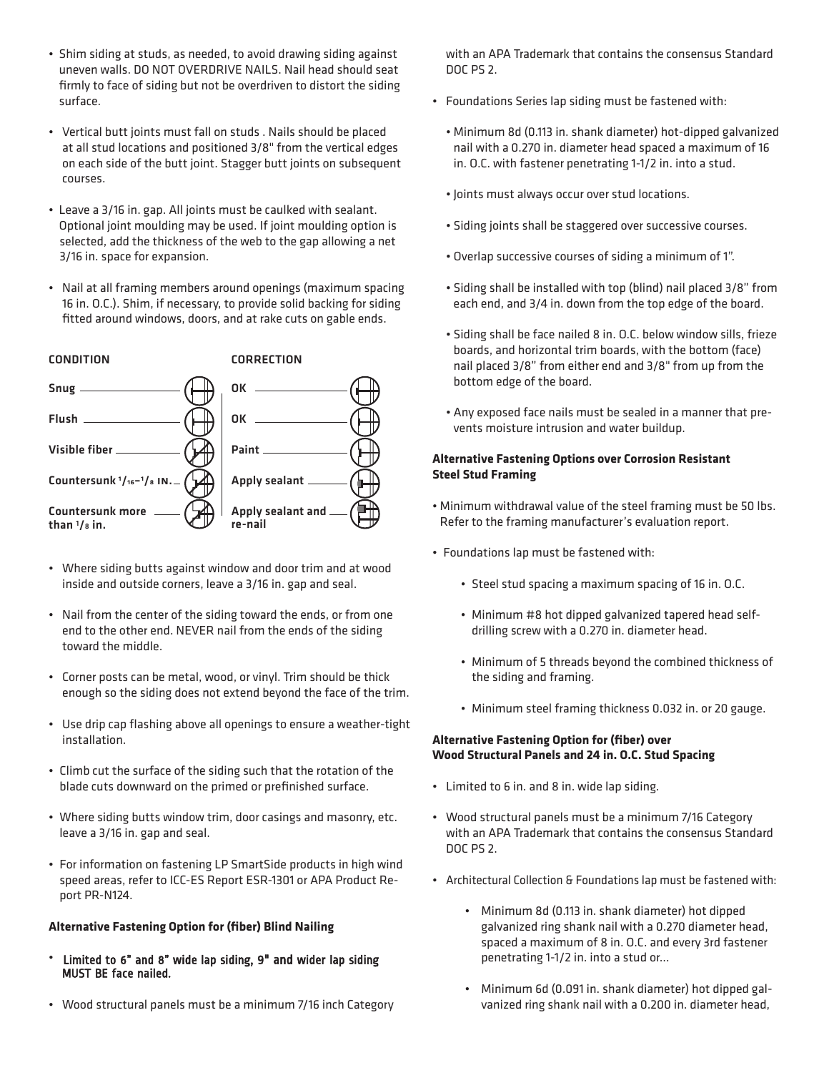- Shim siding at studs, as needed, to avoid drawing siding against uneven walls. DO NOT OVERDRIVE NAILS. Nail head should seat firmly to face of siding but not be overdriven to distort the siding surface.
- Vertical butt joints must fall on studs . Nails should be placed at all stud locations and positioned 3/8" from the vertical edges on each side of the butt joint. Stagger butt joints on subsequent courses.
- Leave a 3/16 in. gap. All joints must be caulked with sealant. Optional joint moulding may be used. If joint moulding option is selected, add the thickness of the web to the gap allowing a net 3/16 in. space for expansion.
- Nail at all framing members around openings (maximum spacing 16 in. O.C.). Shim, if necessary, to provide solid backing for siding fitted around windows, doors, and at rake cuts on gable ends.



- Where siding butts against window and door trim and at wood inside and outside corners, leave a 3/16 in. gap and seal.
- Nail from the center of the siding toward the ends, or from one end to the other end. NEVER nail from the ends of the siding toward the middle.
- Corner posts can be metal, wood, or vinyl. Trim should be thick enough so the siding does not extend beyond the face of the trim.
- Use drip cap flashing above all openings to ensure a weather-tight installation.
- Climb cut the surface of the siding such that the rotation of the blade cuts downward on the primed or prefinished surface.
- Where siding butts window trim, door casings and masonry, etc. leave a 3/16 in. gap and seal.
- For information on fastening LP SmartSide products in high wind speed areas, refer to ICC-ES Report ESR-1301 or APA Product Report PR-N124.

#### **Alternative Fastening Option for (fiber) Blind Nailing**

- Limited to 6" and 8" wide lap siding, 9" and wider lap siding MUST BE face nailed.
- Wood structural panels must be a minimum 7/16 inch Category

with an APA Trademark that contains the consensus Standard DOC PS 2.

- Foundations Series lap siding must be fastened with:
	- Minimum 8d (0.113 in. shank diameter) hot-dipped galvanized nail with a 0.270 in. diameter head spaced a maximum of 16 in. O.C. with fastener penetrating 1-1/2 in. into a stud.
	- Joints must always occur over stud locations.
	- Siding joints shall be staggered over successive courses.
	- Overlap successive courses of siding a minimum of 1".
	- Siding shall be installed with top (blind) nail placed 3/8" from each end, and 3/4 in. down from the top edge of the board.
	- Siding shall be face nailed 8 in. O.C. below window sills, frieze boards, and horizontal trim boards, with the bottom (face) nail placed 3/8" from either end and 3/8" from up from the bottom edge of the board.
	- Any exposed face nails must be sealed in a manner that prevents moisture intrusion and water buildup.

#### **Alternative Fastening Options over Corrosion Resistant Steel Stud Framing**

- Minimum withdrawal value of the steel framing must be 50 lbs. Refer to the framing manufacturer's evaluation report.
- Foundations lap must be fastened with:
	- Steel stud spacing a maximum spacing of 16 in. O.C.
	- Minimum #8 hot dipped galvanized tapered head selfdrilling screw with a 0.270 in. diameter head.
	- Minimum of 5 threads beyond the combined thickness of the siding and framing.
	- Minimum steel framing thickness 0.032 in. or 20 gauge.

#### **Alternative Fastening Option for (fiber) over Wood Structural Panels and 24 in. O.C. Stud Spacing**

- Limited to 6 in. and 8 in. wide lap siding.
- Wood structural panels must be a minimum 7/16 Category with an APA Trademark that contains the consensus Standard DOC PS 2.
- Architectural Collection & Foundations lap must be fastened with:
	- Minimum 8d (0.113 in. shank diameter) hot dipped galvanized ring shank nail with a 0.270 diameter head, spaced a maximum of 8 in. O.C. and every 3rd fastener penetrating 1-1/2 in. into a stud or...
	- Minimum 6d (0.091 in. shank diameter) hot dipped galvanized ring shank nail with a 0.200 in. diameter head,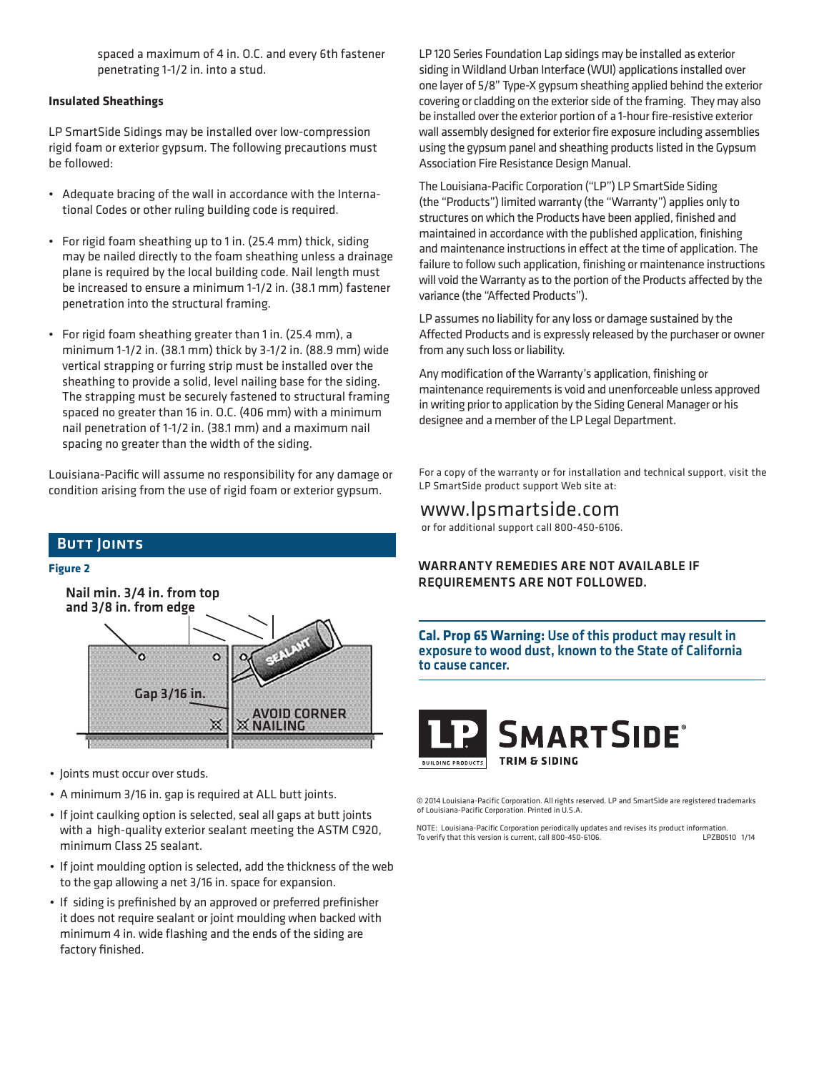spaced a maximum of 4 in. O.C. and every 6th fastener penetrating 1-1/2 in. into a stud.

#### **Insulated Sheathings**

LP SmartSide Sidings may be installed over low-compression rigid foam or exterior gypsum. The following precautions must be followed:

- • Adequate bracing of the wall in accordance with the International Codes or other ruling building code is required.
- For rigid foam sheathing up to 1 in. (25.4 mm) thick, siding may be nailed directly to the foam sheathing unless a drainage plane is required by the local building code. Nail length must be increased to ensure a minimum 1-1/2 in. (38.1 mm) fastener penetration into the structural framing.
- • For rigid foam sheathing greater than 1 in. (25.4 mm), a minimum 1-1/2 in. (38.1 mm) thick by 3-1/2 in. (88.9 mm) wide vertical strapping or furring strip must be installed over the sheathing to provide a solid, level nailing base for the siding. The strapping must be securely fastened to structural framing spaced no greater than 16 in. O.C. (406 mm) with a minimum nail penetration of 1-1/2 in. (38.1 mm) and a maximum nail spacing no greater than the width of the siding.

Louisiana-Pacific will assume no responsibility for any damage or condition arising from the use of rigid foam or exterior gypsum.



- • Joints must occur over studs.
- • A minimum 3/16 in. gap is required at ALL butt joints.
- If joint caulking option is selected, seal all gaps at butt joints with a high-quality exterior sealant meeting the ASTM C920, minimum Class 25 sealant.
- If joint moulding option is selected, add the thickness of the web to the gap allowing a net 3/16 in. space for expansion.
- If siding is prefinished by an approved or preferred prefinisher it does not require sealant or joint moulding when backed with minimum 4 in. wide flashing and the ends of the siding are factory finished.

LP 120 Series Foundation Lap sidings may be installed as exterior siding in Wildland Urban Interface (WUI) applications installed over one layer of 5/8" Type-X gypsum sheathing applied behind the exterior covering or cladding on the exterior side of the framing. They may also be installed over the exterior portion of a 1-hour fire-resistive exterior wall assembly designed for exterior fire exposure including assemblies using the gypsum panel and sheathing products listed in the Gypsum Association Fire Resistance Design Manual.

The Louisiana-Pacific Corporation ("LP") LP SmartSide Siding (the "Products") limitedwarranty (the "Warranty") applies only to structures on which the Products have been applied, finished and maintained in accordance with the published application, finishing and maintenance instructions in effect at the time of application. The failure to follow such application, finishing or maintenance instructions will void the Warranty as to the portion of the Products affected by the variance (the "Affected Products").

LP assumes no liability for any loss or damage sustained by the Affected Products and is expressly released by the purchaser or owner from any such loss or liability.

Any modification of the Warranty's application, finishing or maintenance requirements is void and unenforceable unless approved in writing prior to application by the Siding General Manager or his designee and a member of the LP Legal Department.

For a copy of the warranty or for installation and technical support, visit the LP SmartSide product support Web site at:

## www.lpsmartside.com

or for additional support call 800-450-6106.

#### WARRANTY REMEDIES ARE NOT AVAILABLE IF REQUIREMENTS ARE NOT FOLLOWED.

**Cal. Prop 65 Warning:** Use of this product may result in exposure to wood dust, known to the State of California to cause cancer.



© 2014 Louisiana-Pacific Corporation. All rights reserved. LP and SmartSide are registered trademarks of Louisiana-Pacific Corporation. Printed in U.S.A.

NOTE: Louisiana-Pacific Corporation periodically updates and revises its product information.<br>1/14 Dr Verify that this version is current. call 800-450-6106. To verify that this version is current, call 800-450-6106.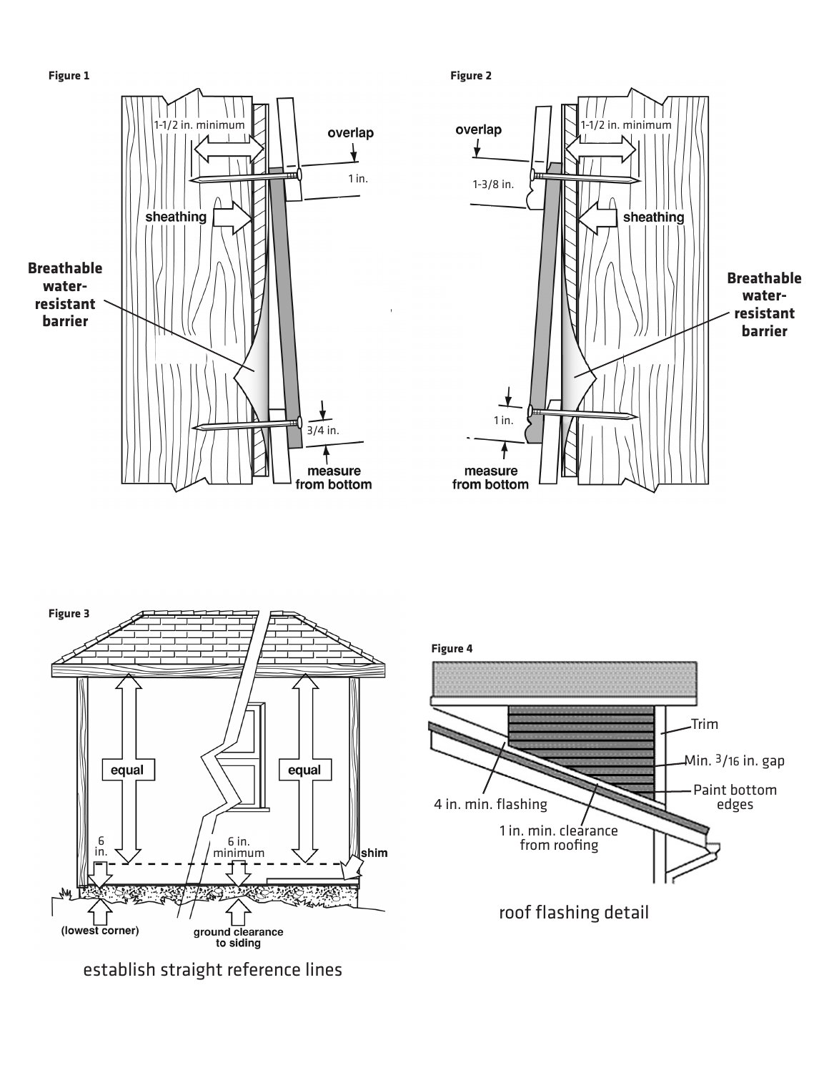







establish straight reference lines

**Figure 4**